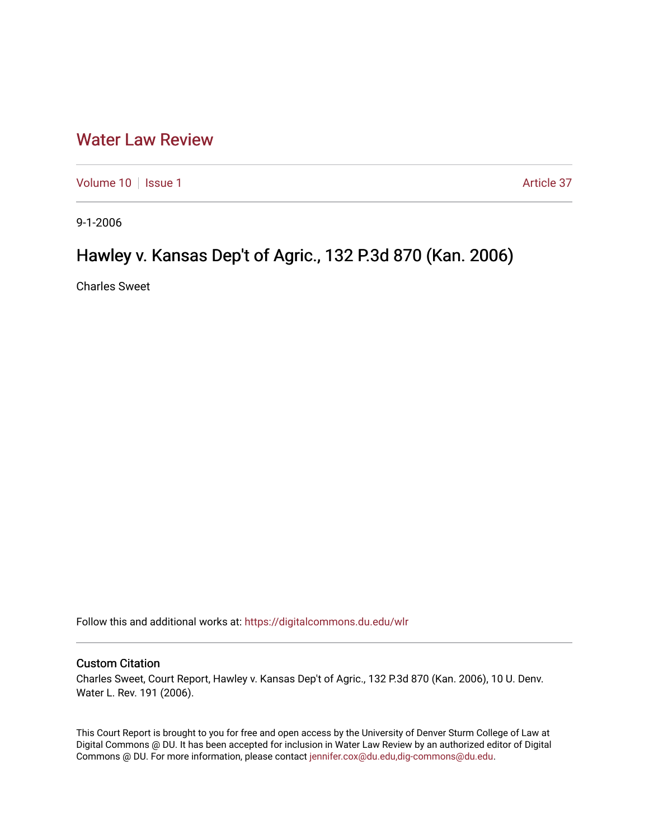## [Water Law Review](https://digitalcommons.du.edu/wlr)

[Volume 10](https://digitalcommons.du.edu/wlr/vol10) | [Issue 1](https://digitalcommons.du.edu/wlr/vol10/iss1) Article 37

9-1-2006

# Hawley v. Kansas Dep't of Agric., 132 P.3d 870 (Kan. 2006)

Charles Sweet

Follow this and additional works at: [https://digitalcommons.du.edu/wlr](https://digitalcommons.du.edu/wlr?utm_source=digitalcommons.du.edu%2Fwlr%2Fvol10%2Fiss1%2F37&utm_medium=PDF&utm_campaign=PDFCoverPages) 

## Custom Citation

Charles Sweet, Court Report, Hawley v. Kansas Dep't of Agric., 132 P.3d 870 (Kan. 2006), 10 U. Denv. Water L. Rev. 191 (2006).

This Court Report is brought to you for free and open access by the University of Denver Sturm College of Law at Digital Commons @ DU. It has been accepted for inclusion in Water Law Review by an authorized editor of Digital Commons @ DU. For more information, please contact [jennifer.cox@du.edu,dig-commons@du.edu.](mailto:jennifer.cox@du.edu,dig-commons@du.edu)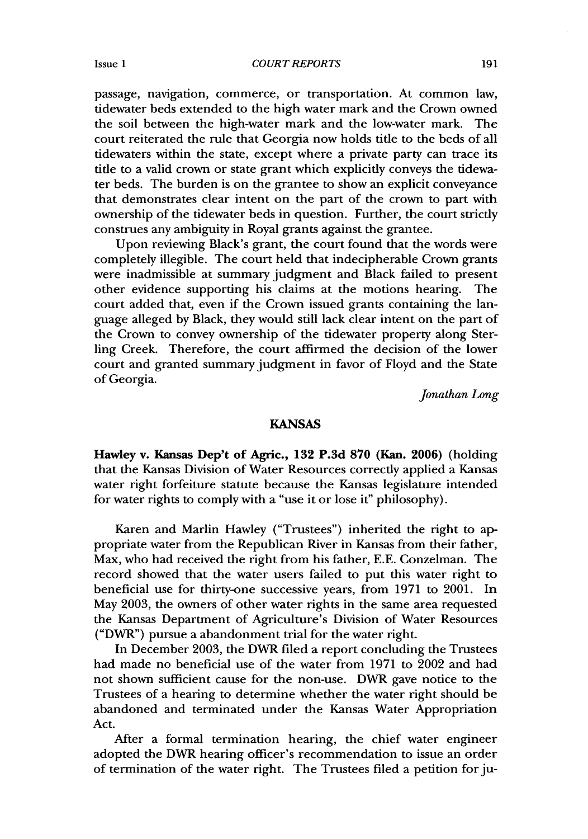*COURT REPORTS*

passage, navigation, commerce, or transportation. At common law, tidewater beds extended to the high water mark and the Crown owned the soil between the high-water mark and the low-water mark. The court reiterated the rule that Georgia now holds title to the beds of all tidewaters within the state, except where a private party can trace its title to a valid crown or state grant which explicitly conveys the tidewater beds. The burden is on the grantee to show an explicit conveyance that demonstrates clear intent on the part of the crown to part with ownership of the tidewater beds in question. Further, the court strictly construes any ambiguity in Royal grants against the grantee.

Upon reviewing Black's grant, the court found that the words were completely illegible. The court held that indecipherable Crown grants were inadmissible at summary judgment and Black failed to present other evidence supporting his claims at the motions hearing. The court added that, even if the Crown issued grants containing the language alleged by Black, they would still lack clear intent on the part of the Crown to convey ownership of the tidewater property along Sterling Creek. Therefore, the court affirmed the decision of the lower court and granted summary judgment in favor of Floyd and the State of Georgia.

*Jonathan Long*

### **KANSAS**

Hawley v. Kansas Dep't of Agric., **132 P.3d 870 (Kan. 2006)** (holding that the Kansas Division of Water Resources correctly applied a Kansas water right forfeiture statute because the Kansas legislature intended for water rights to comply with a "use it or lose it" philosophy).

Karen and Marlin Hawley ("Trustees") inherited the right to appropriate water from the Republican River in Kansas from their father, Max, who had received the right from his father, E.E. Conzelman. The record showed that the water users failed to put this water right to beneficial use for thirty-one successive years, from 1971 to 2001. In May 2003, the owners of other water rights in the same area requested the Kansas Department of Agriculture's Division of Water Resources ("DWR") pursue a abandonment trial for the water right.

In December 2003, the DWR filed a report concluding the Trustees had made no beneficial use of the water from 1971 to 2002 and had not shown sufficient cause for the non-use. DWR gave notice to the Trustees of a hearing to determine whether the water right should be abandoned and terminated under the Kansas Water Appropriation Act.

After a formal termination hearing, the chief water engineer adopted the DWR hearing officer's recommendation to issue an order of termination of the water right. The Trustees filed a petition for ju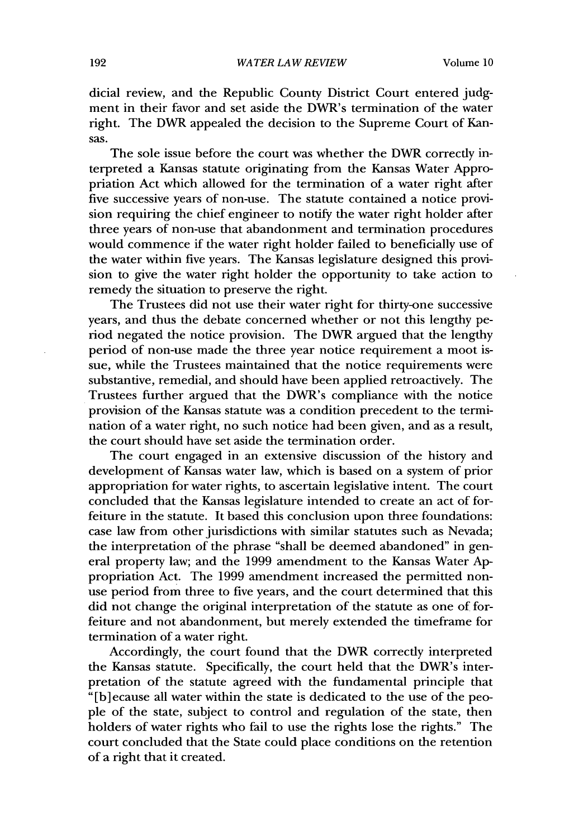dicial review, and the Republic County District Court entered judgment in their favor and set aside the DWR's termination of the water right. The DWR appealed the decision to the Supreme Court of Kansas.

The sole issue before the court was whether the DWR correctly interpreted a Kansas statute originating from the Kansas Water Appropriation Act which allowed for the termination of a water right after five successive years of non-use. The statute contained a notice provision requiring the chief engineer to notify the water right holder after three years of non-use that abandonment and termination procedures would commence if the water right holder failed to beneficially use of the water within five years. The Kansas legislature designed this provision to give the water right holder the opportunity to take action to remedy the situation to preserve the right.

The Trustees did not use their water right for thirty-one successive years, and thus the debate concerned whether or not this lengthy period negated the notice provision. The DWR argued that the lengthy period of non-use made the three year notice requirement a moot issue, while the Trustees maintained that the notice requirements were substantive, remedial, and should have been applied retroactively. The Trustees further argued that the DWR's compliance with the notice provision of the Kansas statute was a condition precedent to the termination of a water right, no such notice had been given, and as a result, the court should have set aside the termination order.

The court engaged in an extensive discussion of the history and development of Kansas water law, which is based on a system of prior appropriation for water rights, to ascertain legislative intent. The court concluded that the Kansas legislature intended to create an act of forfeiture in the statute. It based this conclusion upon three foundations: case law from other jurisdictions with similar statutes such as Nevada; the interpretation of the phrase "shall be deemed abandoned" in general property law; and the 1999 amendment to the Kansas Water Appropriation Act. The 1999 amendment increased the permitted nonuse period from three to five years, and the court determined that this did not change the original interpretation of the statute as one of forfeiture and not abandonment, but merely extended the timeframe for termination of a water right.

Accordingly, the court found that the DWR correctly interpreted the Kansas statute. Specifically, the court held that the DWR's interpretation of the statute agreed with the fundamental principle that "[b]ecause all water within the state is dedicated to the use of the people of the state, subject to control and regulation of the state, then holders of water rights who fail to use the rights lose the rights." The court concluded that the State could place conditions on the retention of a right that it created.